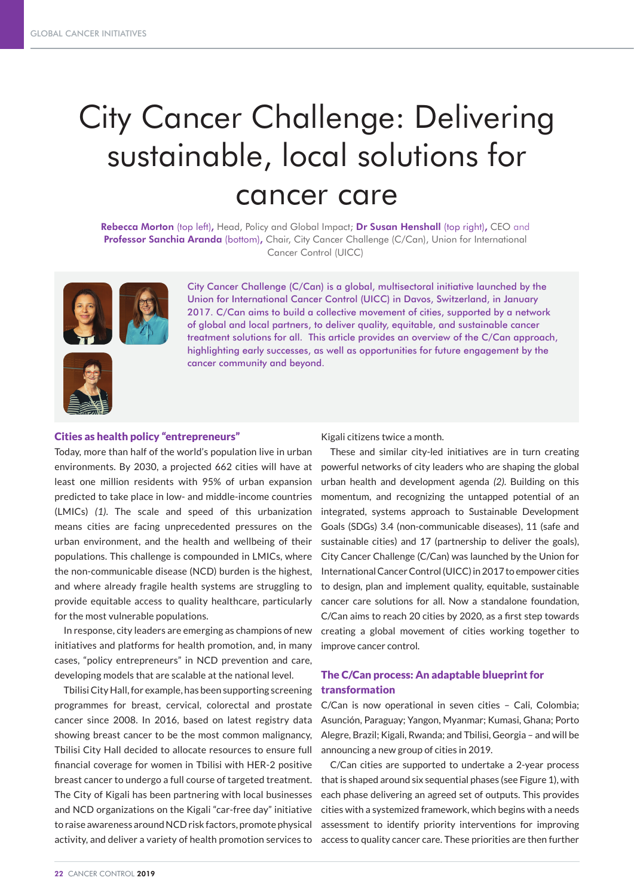# City Cancer Challenge: Delivering sustainable, local solutions for cancer care

Rebecca Morton (top left), Head, Policy and Global Impact; Dr Susan Henshall (top right), CEO and Professor Sanchia Aranda (bottom), Chair, City Cancer Challenge (C/Can), Union for International Cancer Control (UICC)



City Cancer Challenge (C/Can) is a global, multisectoral initiative launched by the Union for International Cancer Control (UICC) in Davos, Switzerland, in January 2017. C/Can aims to build a collective movement of cities, supported by a network of global and local partners, to deliver quality, equitable, and sustainable cancer treatment solutions for all. This article provides an overview of the C/Can approach, highlighting early successes, as well as opportunities for future engagement by the cancer community and beyond.



## Cities as health policy "entrepreneurs"

Today, more than half of the world's population live in urban environments. By 2030, a projected 662 cities will have at least one million residents with 95% of urban expansion predicted to take place in low- and middle-income countries (LMICs) *(1)*. The scale and speed of this urbanization means cities are facing unprecedented pressures on the urban environment, and the health and wellbeing of their populations. This challenge is compounded in LMICs, where the non-communicable disease (NCD) burden is the highest, and where already fragile health systems are struggling to provide equitable access to quality healthcare, particularly for the most vulnerable populations.

In response, city leaders are emerging as champions of new initiatives and platforms for health promotion, and, in many cases, "policy entrepreneurs" in NCD prevention and care, developing models that are scalable at the national level.

Tbilisi City Hall, for example, has been supporting screening programmes for breast, cervical, colorectal and prostate cancer since 2008. In 2016, based on latest registry data showing breast cancer to be the most common malignancy, Tbilisi City Hall decided to allocate resources to ensure full financial coverage for women in Tbilisi with HER-2 positive breast cancer to undergo a full course of targeted treatment. The City of Kigali has been partnering with local businesses and NCD organizations on the Kigali "car-free day" initiative to raise awareness around NCD risk factors, promote physical activity, and deliver a variety of health promotion services to

Kigali citizens twice a month.

These and similar city-led initiatives are in turn creating powerful networks of city leaders who are shaping the global urban health and development agenda *(2)*. Building on this momentum, and recognizing the untapped potential of an integrated, systems approach to Sustainable Development Goals (SDGs) 3.4 (non-communicable diseases), 11 (safe and sustainable cities) and 17 (partnership to deliver the goals), City Cancer Challenge (C/Can) was launched by the Union for International Cancer Control (UICC) in 2017 to empower cities to design, plan and implement quality, equitable, sustainable cancer care solutions for all. Now a standalone foundation, C/Can aims to reach 20 cities by 2020, as a first step towards creating a global movement of cities working together to improve cancer control.

## The C/Can process: An adaptable blueprint for transformation

C/Can is now operational in seven cities – Cali, Colombia; Asunción, Paraguay; Yangon, Myanmar; Kumasi, Ghana; Porto Alegre, Brazil; Kigali, Rwanda; and Tbilisi, Georgia – and will be announcing a new group of cities in 2019.

C/Can cities are supported to undertake a 2-year process that is shaped around six sequential phases (see Figure 1), with each phase delivering an agreed set of outputs. This provides cities with a systemized framework, which begins with a needs assessment to identify priority interventions for improving access to quality cancer care. These priorities are then further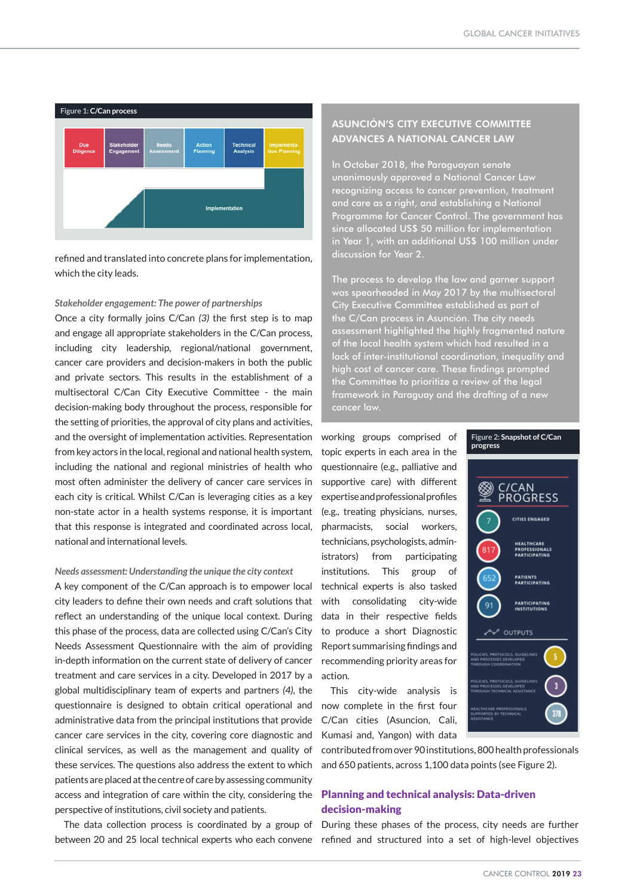

refined and translated into concrete plans for implementation, which the city leads.

#### *Stakeholder engagement: The power of partnerships*

Once a city formally joins C/Can *(3)* the first step is to map and engage all appropriate stakeholders in the C/Can process, including city leadership, regional/national government, cancer care providers and decision-makers in both the public and private sectors. This results in the establishment of a multisectoral C/Can City Executive Committee - the main decision-making body throughout the process, responsible for the setting of priorities, the approval of city plans and activities, and the oversight of implementation activities. Representation from key actors in the local, regional and national health system, including the national and regional ministries of health who most often administer the delivery of cancer care services in each city is critical. Whilst C/Can is leveraging cities as a key non-state actor in a health systems response, it is important that this response is integrated and coordinated across local, national and international levels.

#### *Needs assessment: Understanding the unique the city context*

A key component of the C/Can approach is to empower local city leaders to define their own needs and craft solutions that reflect an understanding of the unique local context. During this phase of the process, data are collected using C/Can's City Needs Assessment Questionnaire with the aim of providing in-depth information on the current state of delivery of cancer treatment and care services in a city. Developed in 2017 by a global multidisciplinary team of experts and partners *(4)*, the questionnaire is designed to obtain critical operational and administrative data from the principal institutions that provide cancer care services in the city, covering core diagnostic and clinical services, as well as the management and quality of these services. The questions also address the extent to which patients are placed at the centre of care by assessing community access and integration of care within the city, considering the perspective of institutions, civil society and patients.

The data collection process is coordinated by a group of between 20 and 25 local technical experts who each convene refined and structured into a set of high-level objectives

# ASUNCIÓN'S CITY EXECUTIVE COMMITTEE ADVANCES A NATIONAL CANCER LAW

In October 2018, the Paraguayan senate unanimously approved a National Cancer Law recognizing access to cancer prevention, treatment and care as a right, and establishing a National Programme for Cancer Control. The government has since allocated US\$ 50 million for implementation in Year 1, with an additional US\$ 100 million under discussion for Year 2.

The process to develop the law and garner support was spearheaded in May 2017 by the multisectoral City Executive Committee established as part of the C/Can process in Asunción. The city needs assessment highlighted the highly fragmented nature of the local health system which had resulted in a lack of inter-institutional coordination, inequality and high cost of cancer care. These findings prompted the Committee to prioritize a review of the legal framework in Paraguay and the drafting of a new cancer law.

working groups comprised of topic experts in each area in the questionnaire (e.g., palliative and supportive care) with different expertise and professional profiles (e.g., treating physicians, nurses, pharmacists, social workers, technicians, psychologists, administrators) from participating institutions. This group of technical experts is also tasked with consolidating city-wide data in their respective fields to produce a short Diagnostic Report summarising findings and recommending priority areas for action.

This city-wide analysis is now complete in the first four C/Can cities (Asuncion, Cali, Kumasi and, Yangon) with data

**progress** C/CAN **PROGRESS** CITIES ENGAGED HEALTHCARE<br>PROFESSIONALS<br>PARTICIPATING .<br>PATIENTS<br>PARTICIPATING **PARTICIPATING**<br>INSTITUTIONS OUTPUTS

**Figure 2: Snapshot of C/Can** 

contributed from over 90 institutions, 800 health professionals and 650 patients, across 1,100 data points (see Figure 2).

## Planning and technical analysis: Data-driven decision-making

During these phases of the process, city needs are further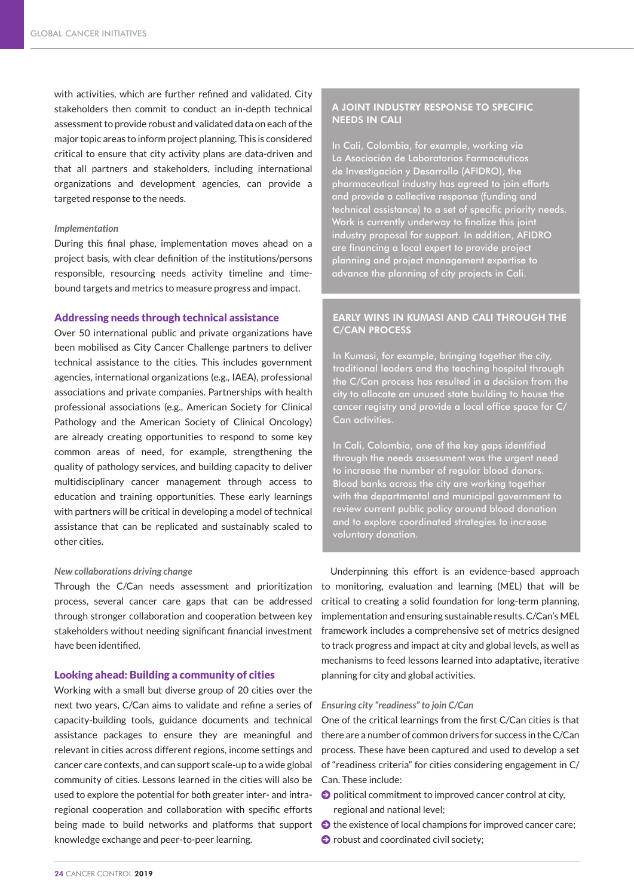with activities, which are further refined and validated. City stakeholders then commit to conduct an in-depth technical assessment to provide robust and validated data on each of the major topic areas to inform project planning. This is considered critical to ensure that city activity plans are data-driven and that all partners and stakeholders, including international organizations and development agencies, can provide a targeted response to the needs.

#### *Implementation*

During this final phase, implementation moves ahead on a project basis, with clear definition of the institutions/persons responsible, resourcing needs activity timeline and timebound targets and metrics to measure progress and impact.

#### Addressing needs through technical assistance

Over 50 international public and private organizations have been mobilised as City Cancer Challenge partners to deliver technical assistance to the cities. This includes government agencies, international organizations (e.g., IAEA), professional associations and private companies. Partnerships with health professional associations (e.g., American Society for Clinical Pathology and the American Society of Clinical Oncology) are already creating opportunities to respond to some key common areas of need, for example, strengthening the quality of pathology services, and building capacity to deliver multidisciplinary cancer management through access to education and training opportunities. These early learnings with partners will be critical in developing a model of technical assistance that can be replicated and sustainably scaled to other cities.

#### *New collaborations driving change*

Through the C/Can needs assessment and prioritization process, several cancer care gaps that can be addressed through stronger collaboration and cooperation between key stakeholders without needing significant financial investment have been identified.

#### Looking ahead: Building a community of cities

Working with a small but diverse group of 20 cities over the next two years, C/Can aims to validate and refine a series of capacity-building tools, guidance documents and technical assistance packages to ensure they are meaningful and relevant in cities across different regions, income settings and cancer care contexts, and can support scale-up to a wide global community of cities. Lessons learned in the cities will also be used to explore the potential for both greater inter- and intraregional cooperation and collaboration with specific efforts being made to build networks and platforms that support knowledge exchange and peer-to-peer learning.

### A JOINT INDUSTRY RESPONSE TO SPECIFIC NEEDS IN CALI

In Cali, Colombia, for example, working via La Asociación de Laboratorios Farmacéuticos de Investigación y Desarrollo (AFIDRO), the pharmaceutical industry has agreed to join efforts .<br><u>and provide a collective response (funding and</u> technical assistance) to a set of specific priority needs. Work is currently underway to finalize this joint industry proposal for support. In addition, AFIDRO are financing a local expert to provide project planning and project management expertise to advance the planning of city projects in Cali.

## EARLY WINS IN KUMASI AND CALI THROUGH THE C/CAN PROCESS

In Kumasi, for example, bringing together the city, traditional leaders and the teaching hospital through the C/Can process has resulted in a decision from the city to allocate an unused state building to house the cancer registry and provide a local office space for C/ Can activities.

In Cali, Colombia, one of the key gaps identified through the needs assessment was the urgent need to increase the number of regular blood donors. Blood banks across the city are working together with the departmental and municipal government to review current public policy around blood donation and to explore coordinated strategies to increase voluntary donation.

Underpinning this effort is an evidence-based approach to monitoring, evaluation and learning (MEL) that will be critical to creating a solid foundation for long-term planning, implementation and ensuring sustainable results. C/Can's MEL framework includes a comprehensive set of metrics designed to track progress and impact at city and global levels, as well as mechanisms to feed lessons learned into adaptative, iterative planning for city and global activities.

#### *Ensuring city "readiness" to join C/Can*

One of the critical learnings from the first C/Can cities is that there are a number of common drivers for success in the C/Can process. These have been captured and used to develop a set of "readiness criteria" for cities considering engagement in C/ Can. These include:

- $\bullet$  political commitment to improved cancer control at city, regional and national level;
- $\bullet$  the existence of local champions for improved cancer care;
- $\bullet$  robust and coordinated civil society;